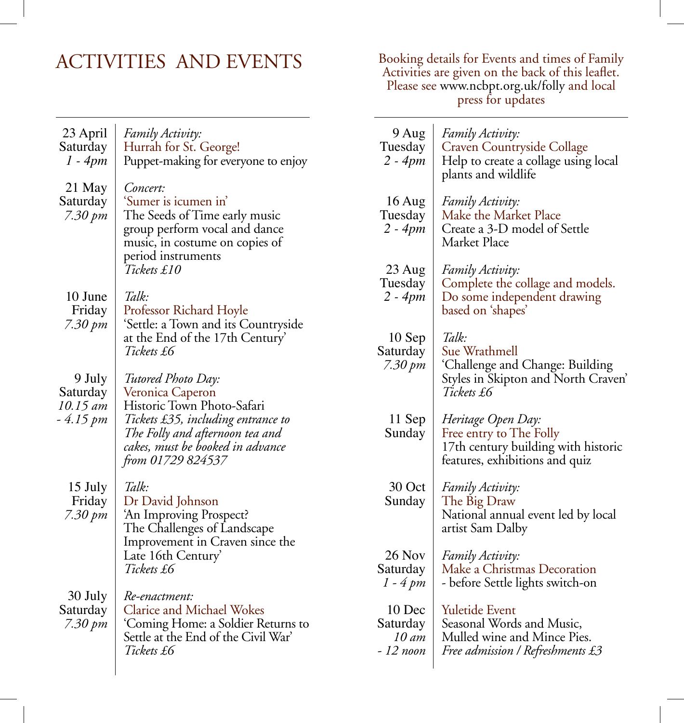ACTIVITIES AND EVENTS Booking details for Events and times of Family Activities are given on the back of this leaflet. Please see www.ncbpt.org.uk/folly and local press for updates

| 23 April<br>Saturday<br>$1 - 4pm$        | Family Activity:<br>Hurrah for St. George!<br>Puppet-making for everyone to enjoy                                                                                                | 9 Aug<br>Tuesday<br>$2 - 4pm$                 | Family Activity:<br>Craven Countryside Collage<br>Help to create a collage using local<br>plants and wildlife                        |
|------------------------------------------|----------------------------------------------------------------------------------------------------------------------------------------------------------------------------------|-----------------------------------------------|--------------------------------------------------------------------------------------------------------------------------------------|
| 21 May<br>Saturday<br>7.30 pm            | Concert:<br>'Sumer is icumen in'<br>The Seeds of Time early music<br>group perform vocal and dance<br>music, in costume on copies of<br>period instruments                       | $16$ Aug<br>Tuesday<br>2 - 4pm                | Family Activity:<br>Make the Market Place<br>Create a 3-D model of Settle<br>Market Place                                            |
| 10 June<br>Friday<br>$7.30 \, \text{pm}$ | Tickets £10<br>Talk:<br>Professor Richard Hoyle<br>'Settle: a Town and its Countryside                                                                                           | 23 Aug<br>Tuesday<br>$2 - 4pm$                | Family Activity:<br>Complete the collage and models.<br>Do some independent drawing<br>based on 'shapes'                             |
| 9 July                                   | at the End of the 17th Century'<br>Tickets £6<br>Tutored Photo Day:                                                                                                              | 10 Sep<br>Saturday<br>7.30 pm                 | Talk:<br>Sue Wrathmell<br>'Challenge and Change: Building<br>Styles in Skipton and North Craven'                                     |
| Saturday<br>10.15 am<br>- 4.15 pm        | Veronica Caperon<br>Historic Town Photo-Safari<br>Tickets £35, including entrance to<br>The Folly and afternoon tea and<br>cakes, must be booked in advance<br>from 01729 824537 | 11 Sep<br>Sunday                              | Tickets £6<br>Heritage Open Day:<br>Free entry to The Folly<br>17th century building with historic<br>features, exhibitions and quiz |
| 15 July<br>Friday<br>7.30 pm             | Talk:<br>Dr David Johnson<br>'An Improving Prospect?<br>The Challenges of Landscape<br>Improvement in Craven since the                                                           | 30 Oct<br>Sunday                              | Family Activity:<br>The Big Draw<br>National annual event led by local<br>artist Sam Dalby                                           |
|                                          | Late 16th Century'<br>Tickets £6                                                                                                                                                 | 26 Nov<br>Saturday<br>1 - 4 pm                | Family Activity:<br>Make a Christmas Decoration<br>- before Settle lights switch-on                                                  |
| 30 July<br>Saturday<br>7.30 pm           | Re-enactment:<br><b>Clarice and Michael Wokes</b><br>'Coming Home: a Soldier Returns to<br>Settle at the End of the Civil War'<br>Tickets £6                                     | 10 Dec<br>Saturday<br>$10 \,$ am<br>- 12 noon | Yuletide Event<br>Seasonal Words and Music,<br>Mulled wine and Mince Pies.<br>Free admission / Refreshments £3                       |
|                                          |                                                                                                                                                                                  |                                               |                                                                                                                                      |